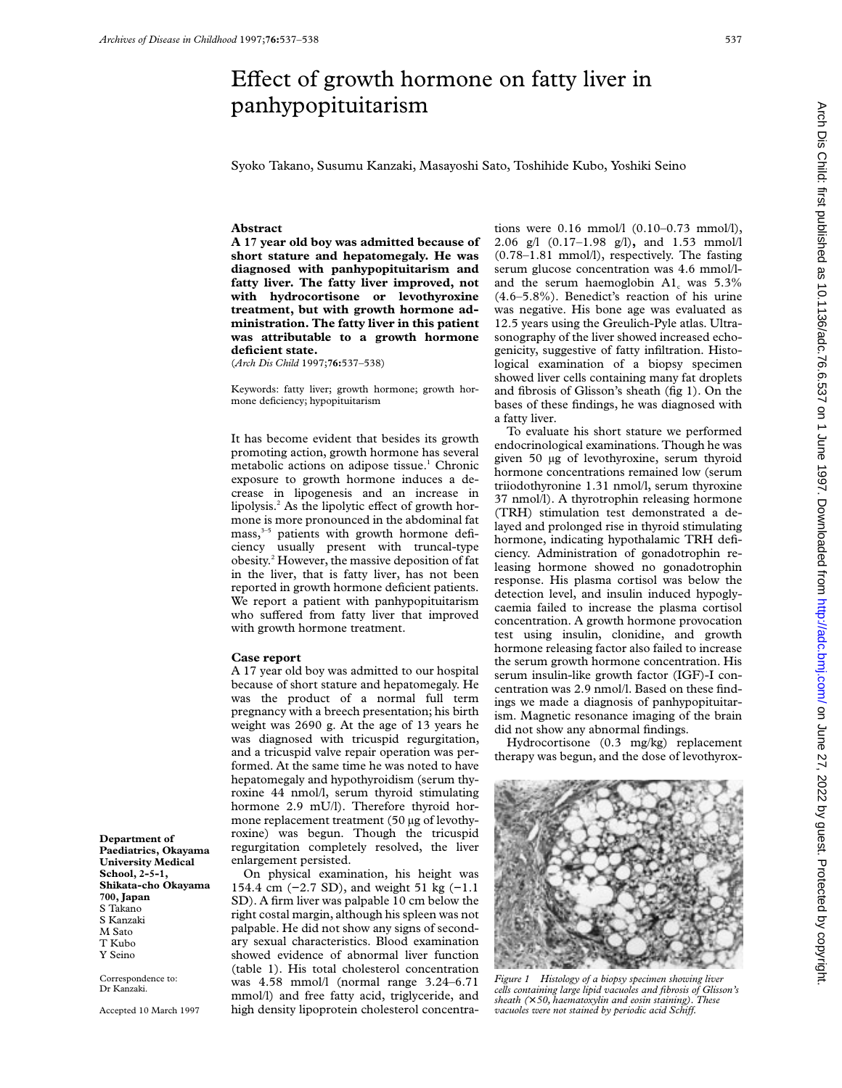## Effect of growth hormone on fatty liver in panhypopituitarism

Syoko Takano, Susumu Kanzaki, Masayoshi Sato, Toshihide Kubo, Yoshiki Seino

## **Abstract**

**A 17 year old boy was admitted because of short stature and hepatomegaly. He was diagnosed with panhypopituitarism and fatty liver. The fatty liver improved, not with hydrocortisone or levothyroxine treatment, but with growth hormone administration. The fatty liver in this patient was attributable to a growth hormone deficient state.**

(*Arch Dis Child* 1997;**76:**537–538)

Keywords: fatty liver; growth hormone; growth hormone deficiency; hypopituitarism

It has become evident that besides its growth promoting action, growth hormone has several metabolic actions on adipose tissue.<sup>1</sup> Chronic exposure to growth hormone induces a decrease in lipogenesis and an increase in lipolysis. $<sup>2</sup>$  As the lipolytic effect of growth hor-</sup> mone is more pronounced in the abdominal fat  $mass<sub>3</sub><sup>3–5</sup>$  patients with growth hormone deficiency usually present with truncal-type obesity.2 However, the massive deposition of fat in the liver, that is fatty liver, has not been reported in growth hormone deficient patients. We report a patient with panhypopituitarism who suffered from fatty liver that improved with growth hormone treatment.

## **Case report**

A 17 year old boy was admitted to our hospital because of short stature and hepatomegaly. He was the product of a normal full term pregnancy with a breech presentation; his birth weight was 2690 g. At the age of 13 years he was diagnosed with tricuspid regurgitation, and a tricuspid valve repair operation was performed. At the same time he was noted to have hepatomegaly and hypothyroidism (serum thyroxine 44 nmol/l, serum thyroid stimulating hormone 2.9 mU/l). Therefore thyroid hormone replacement treatment (50 µg of levothyroxine) was begun. Though the tricuspid regurgitation completely resolved, the liver enlargement persisted.

On physical examination, his height was 154.4 cm (−2.7 SD), and weight 51 kg (−1.1 SD). A firm liver was palpable 10 cm below the right costal margin, although his spleen was not palpable. He did not show any signs of secondary sexual characteristics. Blood examination showed evidence of abnormal liver function (table 1). His total cholesterol concentration was 4.58 mmol/l (normal range 3.24–6.71 mmol/l) and free fatty acid, triglyceride, and high density lipoprotein cholesterol concentra-

tions were 0.16 mmol/l (0.10–0.73 mmol/l), 2.06 g/l (0.17–1.98 g/l)**,** and 1.53 mmol/l (0.78–1.81 mmol/l), respectively. The fasting serum glucose concentration was 4.6 mmol/land the serum haemoglobin  $A1_c$  was  $5.3\%$ (4.6–5.8%). Benedict's reaction of his urine was negative. His bone age was evaluated as 12.5 years using the Greulich-Pyle atlas. Ultrasonography of the liver showed increased echogenicity, suggestive of fatty infiltration. Histological examination of a biopsy specimen showed liver cells containing many fat droplets and fibrosis of Glisson's sheath (fig 1). On the bases of these findings, he was diagnosed with a fatty liver.

To evaluate his short stature we performed endocrinological examinations. Though he was given 50 µg of levothyroxine, serum thyroid hormone concentrations remained low (serum triiodothyronine 1.31 nmol/l, serum thyroxine 37 nmol/l). A thyrotrophin releasing hormone (TRH) stimulation test demonstrated a delayed and prolonged rise in thyroid stimulating hormone, indicating hypothalamic TRH deficiency. Administration of gonadotrophin releasing hormone showed no gonadotrophin response. His plasma cortisol was below the detection level, and insulin induced hypoglycaemia failed to increase the plasma cortisol concentration. A growth hormone provocation test using insulin, clonidine, and growth hormone releasing factor also failed to increase the serum growth hormone concentration. His serum insulin-like growth factor (IGF)-I concentration was 2.9 nmol/l. Based on these findings we made a diagnosis of panhypopituitarism. Magnetic resonance imaging of the brain did not show any abnormal findings.

Hydrocortisone (0.3 mg/kg) replacement therapy was begun, and the dose of levothyrox-



*cells containing large lipid vacuoles and fibrosis of Glisson's sheath (*× *50, haematoxylin and eosin staining). These vacuoles were not stained by periodic acid Schiff.* 

**Department of Paediatrics, Okayama University Medical School, 2-5-1, Shikata-cho Okayama 700, Japan** S Takano S Kanzaki M Sato T Kubo Y Seino

Correspondence to: Dr Kanzaki.

Accepted 10 March 1997